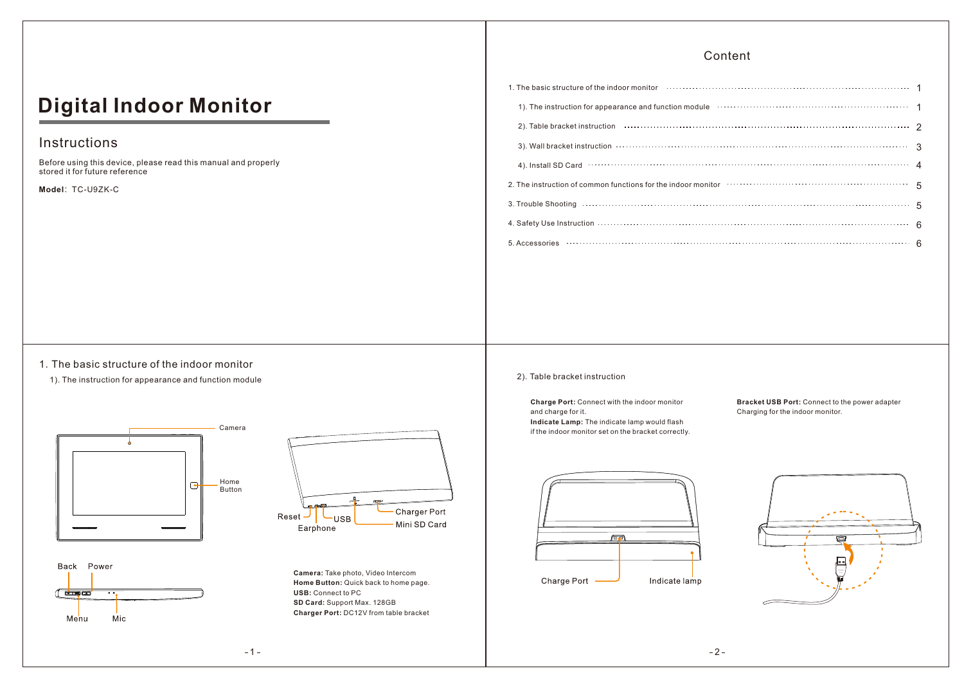### Content

# **Digital Indoor Monitor**

## Instructions

Before using this device, please read this manual and properly stored it for future reference

**Model**:TC-U9ZK-C

# 1). The instruction for appearance and function module with the content content content of the state of the st 2 2). Table bracket instruction 1. The basic structure of the indoor monitor 1 3). Wall bracket instruction 3 4). Install SD Card (100). 2006. The contract of the contract of the contract of the contract of the contract of the contract of the contract of the contract of the contract of the contract of the contract of the contract 2. The instruction of common functions for the indoor monitor 5 3. Trouble Shooting 5 4. Safety Use Instruction 6 5. Accessories 6

### 1.The basic structure of the indoor monitor

1). The instruction for appearance and function module





Back Power





### 2).Table bracket instruction

**Charge Port:** Connect with the indoor monitor and charge for it. **Indicate Lamp:** The indicate lamp would flash if the indoor monitor set on the bracket correctly. **Bracket USB Port:** Connect to the power adapter Charging for the indoor monitor.





 $-1-$